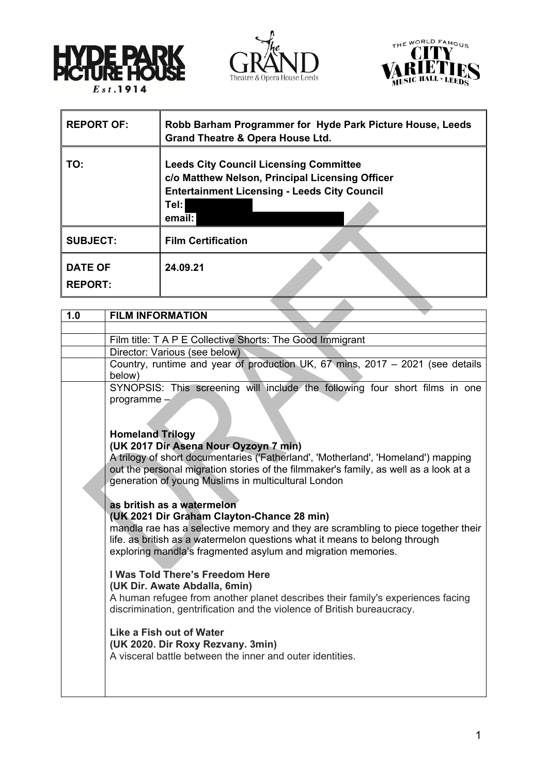





| <b>REPORT OF:</b>                | Robb Barham Programmer for Hyde Park Picture House, Leeds<br><b>Grand Theatre &amp; Opera House Ltd.</b>                                                                  |
|----------------------------------|---------------------------------------------------------------------------------------------------------------------------------------------------------------------------|
| TO:                              | <b>Leeds City Council Licensing Committee</b><br>c/o Matthew Nelson, Principal Licensing Officer<br><b>Entertainment Licensing - Leeds City Council</b><br>Tel:<br>email: |
| <b>SUBJECT:</b>                  | <b>Film Certification</b>                                                                                                                                                 |
| <b>DATE OF</b><br><b>REPORT:</b> | 24.09.21                                                                                                                                                                  |
|                                  |                                                                                                                                                                           |

| 1.0 | <b>FILM INFORMATION</b>                                                              |  |
|-----|--------------------------------------------------------------------------------------|--|
|     |                                                                                      |  |
|     | Film title: T A P E Collective Shorts: The Good Immigrant                            |  |
|     | Director: Various (see below)                                                        |  |
|     | Country, runtime and year of production UK, 67 mins, 2017 - 2021 (see details        |  |
|     | below)                                                                               |  |
|     | SYNOPSIS: This screening will include the following four short films in one          |  |
|     | programme $-$                                                                        |  |
|     |                                                                                      |  |
|     |                                                                                      |  |
|     | <b>Homeland Trilogy</b>                                                              |  |
|     | (UK 2017 Dir Asena Nour Oyzoyn 7 min)                                                |  |
|     | A trilogy of short documentaries ('Fatherland', 'Motherland', 'Homeland') mapping    |  |
|     | out the personal migration stories of the filmmaker's family, as well as a look at a |  |
|     | generation of young Muslims in multicultural London                                  |  |
|     |                                                                                      |  |
|     | as british as a watermelon                                                           |  |
|     | (UK 2021 Dir Graham Clayton-Chance 28 min)                                           |  |
|     | mandla rae has a selective memory and they are scrambling to piece together their    |  |
|     | life, as british as a watermelon questions what it means to belong through           |  |
|     | exploring mandla's fragmented asylum and migration memories.                         |  |
|     | I Was Told There's Freedom Here                                                      |  |
|     | (UK Dir. Awate Abdalla, 6min)                                                        |  |
|     | A human refugee from another planet describes their family's experiences facing      |  |
|     | discrimination, gentrification and the violence of British bureaucracy.              |  |
|     |                                                                                      |  |
|     | Like a Fish out of Water                                                             |  |
|     | (UK 2020. Dir Roxy Rezvany. 3min)                                                    |  |
|     | A visceral battle between the inner and outer identities.                            |  |
|     |                                                                                      |  |
|     |                                                                                      |  |
|     |                                                                                      |  |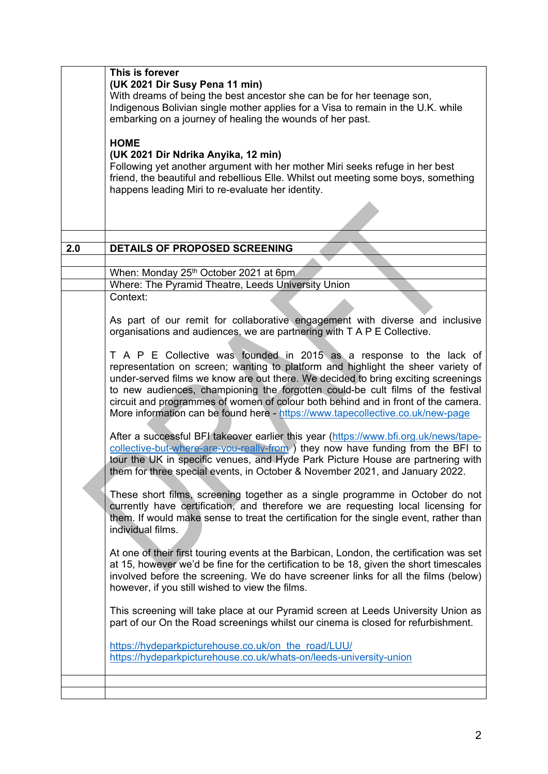|     | This is forever<br>(UK 2021 Dir Susy Pena 11 min)<br>With dreams of being the best ancestor she can be for her teenage son,<br>Indigenous Bolivian single mother applies for a Visa to remain in the U.K. while<br>embarking on a journey of healing the wounds of her past.<br><b>HOME</b><br>(UK 2021 Dir Ndrika Anyika, 12 min)<br>Following yet another argument with her mother Miri seeks refuge in her best<br>friend, the beautiful and rebellious Elle. Whilst out meeting some boys, something<br>happens leading Miri to re-evaluate her identity.                                                                                                                                                                                                                                                                                         |
|-----|-------------------------------------------------------------------------------------------------------------------------------------------------------------------------------------------------------------------------------------------------------------------------------------------------------------------------------------------------------------------------------------------------------------------------------------------------------------------------------------------------------------------------------------------------------------------------------------------------------------------------------------------------------------------------------------------------------------------------------------------------------------------------------------------------------------------------------------------------------|
|     |                                                                                                                                                                                                                                                                                                                                                                                                                                                                                                                                                                                                                                                                                                                                                                                                                                                       |
| 2.0 | DETAILS OF PROPOSED SCREENING                                                                                                                                                                                                                                                                                                                                                                                                                                                                                                                                                                                                                                                                                                                                                                                                                         |
|     |                                                                                                                                                                                                                                                                                                                                                                                                                                                                                                                                                                                                                                                                                                                                                                                                                                                       |
|     | When: Monday 25th October 2021 at 6pm                                                                                                                                                                                                                                                                                                                                                                                                                                                                                                                                                                                                                                                                                                                                                                                                                 |
|     | Where: The Pyramid Theatre, Leeds University Union                                                                                                                                                                                                                                                                                                                                                                                                                                                                                                                                                                                                                                                                                                                                                                                                    |
|     | Context:                                                                                                                                                                                                                                                                                                                                                                                                                                                                                                                                                                                                                                                                                                                                                                                                                                              |
|     | As part of our remit for collaborative engagement with diverse and inclusive<br>organisations and audiences, we are partnering with T A P E Collective.                                                                                                                                                                                                                                                                                                                                                                                                                                                                                                                                                                                                                                                                                               |
|     | T A P E Collective was founded in 2015 as a response to the lack of<br>representation on screen; wanting to platform and highlight the sheer variety of<br>under-served films we know are out there. We decided to bring exciting screenings<br>to new audiences, championing the forgotten could-be cult films of the festival<br>circuit and programmes of women of colour both behind and in front of the camera.<br>More information can be found here - https://www.tapecollective.co.uk/new-page<br>After a successful BFI takeover earlier this year (https://www.bfi.org.uk/news/tape-<br>collective-but-where-are-you-really-from ) they now have funding from the BFI to<br>tour the UK in specific venues, and Hyde Park Picture House are partnering with<br>them for three special events, in October & November 2021, and January 2022. |
|     | These short films, screening together as a single programme in October do not<br>currently have certification, and therefore we are requesting local licensing for<br>them. If would make sense to treat the certification for the single event, rather than<br>individual films.                                                                                                                                                                                                                                                                                                                                                                                                                                                                                                                                                                     |
|     | At one of their first touring events at the Barbican, London, the certification was set<br>at 15, however we'd be fine for the certification to be 18, given the short timescales<br>involved before the screening. We do have screener links for all the films (below)<br>however, if you still wished to view the films.                                                                                                                                                                                                                                                                                                                                                                                                                                                                                                                            |
|     | This screening will take place at our Pyramid screen at Leeds University Union as<br>part of our On the Road screenings whilst our cinema is closed for refurbishment.                                                                                                                                                                                                                                                                                                                                                                                                                                                                                                                                                                                                                                                                                |
|     | https://hydeparkpicturehouse.co.uk/on the road/LUU/<br>https://hydeparkpicturehouse.co.uk/whats-on/leeds-university-union                                                                                                                                                                                                                                                                                                                                                                                                                                                                                                                                                                                                                                                                                                                             |
|     |                                                                                                                                                                                                                                                                                                                                                                                                                                                                                                                                                                                                                                                                                                                                                                                                                                                       |